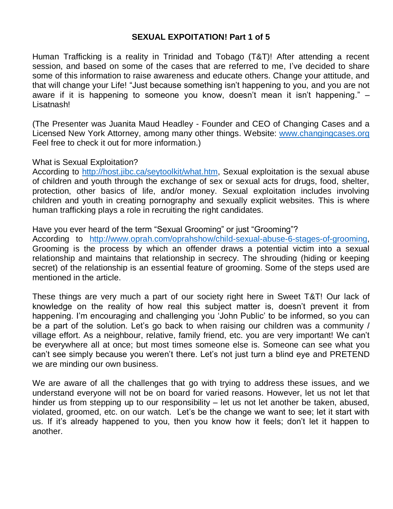#### **SEXUAL EXPOITATION! Part 1 of 5**

Human Trafficking is a reality in Trinidad and Tobago (T&T)! After attending a recent session, and based on some of the cases that are referred to me, I've decided to share some of this information to raise awareness and educate others. Change your attitude, and that will change your Life! "Just because something isn't happening to you, and you are not aware if it is happening to someone you know, doesn't mean it isn't happening." – Lisatnash!

(The Presenter was Juanita Maud Headley - Founder and CEO of Changing Cases and a Licensed New York Attorney, among many other things. Website: [www.changingcases.org](http://www.changingcases.org/) Feel free to check it out for more information.)

What is Sexual Exploitation?

According to [http://host.jibc.ca/seytoolkit/what.htm,](http://host.jibc.ca/seytoolkit/what.htm) Sexual exploitation is the sexual abuse of children and youth through the exchange of sex or sexual acts for drugs, food, shelter, protection, other basics of life, and/or money. Sexual exploitation includes involving children and youth in creating pornography and sexually explicit websites. This is where human trafficking plays a role in recruiting the right candidates.

Have you ever heard of the term "Sexual Grooming" or just "Grooming"?

According to [http://www.oprah.com/oprahshow/child-sexual-abuse-6-stages-of-grooming,](http://www.oprah.com/oprahshow/child-sexual-abuse-6-stages-of-grooming) Grooming is the process by which an offender draws a potential victim into a sexual relationship and maintains that relationship in secrecy. The shrouding (hiding or keeping secret) of the relationship is an essential feature of grooming. Some of the steps used are mentioned in the article.

These things are very much a part of our society right here in Sweet T&T! Our lack of knowledge on the reality of how real this subject matter is, doesn't prevent it from happening. I'm encouraging and challenging you 'John Public' to be informed, so you can be a part of the solution. Let's go back to when raising our children was a community / village effort. As a neighbour, relative, family friend, etc. you are very important! We can't be everywhere all at once; but most times someone else is. Someone can see what you can't see simply because you weren't there. Let's not just turn a blind eye and PRETEND we are minding our own business.

We are aware of all the challenges that go with trying to address these issues, and we understand everyone will not be on board for varied reasons. However, let us not let that hinder us from stepping up to our responsibility – let us not let another be taken, abused, violated, groomed, etc. on our watch. Let's be the change we want to see; let it start with us. If it's already happened to you, then you know how it feels; don't let it happen to another.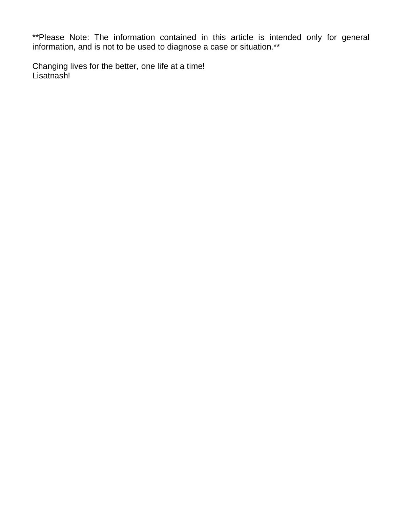\*\*Please Note: The information contained in this article is intended only for general information, and is not to be used to diagnose a case or situation.\*\*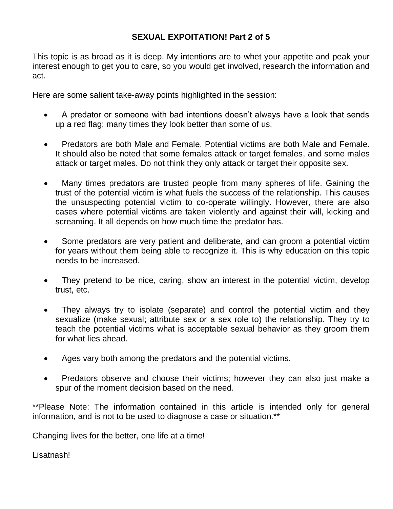# **SEXUAL EXPOITATION! Part 2 of 5**

This topic is as broad as it is deep. My intentions are to whet your appetite and peak your interest enough to get you to care, so you would get involved, research the information and act.

Here are some salient take-away points highlighted in the session:

- A predator or someone with bad intentions doesn't always have a look that sends up a red flag; many times they look better than some of us.
- Predators are both Male and Female. Potential victims are both Male and Female. It should also be noted that some females attack or target females, and some males attack or target males. Do not think they only attack or target their opposite sex.
- Many times predators are trusted people from many spheres of life. Gaining the trust of the potential victim is what fuels the success of the relationship. This causes the unsuspecting potential victim to co-operate willingly. However, there are also cases where potential victims are taken violently and against their will, kicking and screaming. It all depends on how much time the predator has.
- Some predators are very patient and deliberate, and can groom a potential victim for years without them being able to recognize it. This is why education on this topic needs to be increased.
- They pretend to be nice, caring, show an interest in the potential victim, develop trust, etc.
- They always try to isolate (separate) and control the potential victim and they sexualize (make sexual; attribute sex or a sex role to) the relationship. They try to teach the potential victims what is acceptable sexual behavior as they groom them for what lies ahead.
- Ages vary both among the predators and the potential victims.
- Predators observe and choose their victims; however they can also just make a spur of the moment decision based on the need.

\*\*Please Note: The information contained in this article is intended only for general information, and is not to be used to diagnose a case or situation.\*\*

Changing lives for the better, one life at a time!

Lisatnash!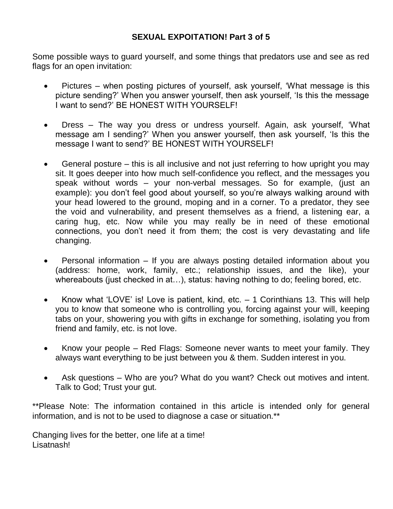### **SEXUAL EXPOITATION! Part 3 of 5**

Some possible ways to guard yourself, and some things that predators use and see as red flags for an open invitation:

- Pictures when posting pictures of yourself, ask yourself, 'What message is this picture sending?' When you answer yourself, then ask yourself, 'Is this the message I want to send?' BE HONEST WITH YOURSELF!
- Dress The way you dress or undress yourself. Again, ask yourself, 'What message am I sending?' When you answer yourself, then ask yourself, 'Is this the message I want to send?' BE HONEST WITH YOURSELF!
- General posture this is all inclusive and not just referring to how upright you may sit. It goes deeper into how much self-confidence you reflect, and the messages you speak without words – your non-verbal messages. So for example, (just an example): you don't feel good about yourself, so you're always walking around with your head lowered to the ground, moping and in a corner. To a predator, they see the void and vulnerability, and present themselves as a friend, a listening ear, a caring hug, etc. Now while you may really be in need of these emotional connections, you don't need it from them; the cost is very devastating and life changing.
- Personal information If you are always posting detailed information about you (address: home, work, family, etc.; relationship issues, and the like), your whereabouts (just checked in at…), status: having nothing to do; feeling bored, etc.
- Know what 'LOVE' is! Love is patient, kind, etc. 1 Corinthians 13. This will help you to know that someone who is controlling you, forcing against your will, keeping tabs on your, showering you with gifts in exchange for something, isolating you from friend and family, etc. is not love.
- Know your people Red Flags: Someone never wants to meet your family. They always want everything to be just between you & them. Sudden interest in you.
- Ask questions Who are you? What do you want? Check out motives and intent. Talk to God; Trust your gut.

\*\*Please Note: The information contained in this article is intended only for general information, and is not to be used to diagnose a case or situation.\*\*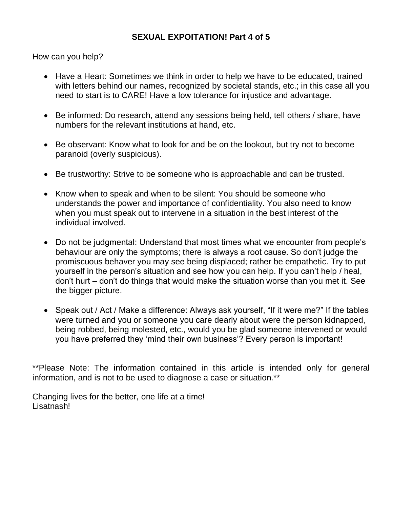# **SEXUAL EXPOITATION! Part 4 of 5**

How can you help?

- Have a Heart: Sometimes we think in order to help we have to be educated, trained with letters behind our names, recognized by societal stands, etc.; in this case all you need to start is to CARE! Have a low tolerance for injustice and advantage.
- Be informed: Do research, attend any sessions being held, tell others / share, have numbers for the relevant institutions at hand, etc.
- Be observant: Know what to look for and be on the lookout, but try not to become paranoid (overly suspicious).
- Be trustworthy: Strive to be someone who is approachable and can be trusted.
- Know when to speak and when to be silent: You should be someone who understands the power and importance of confidentiality. You also need to know when you must speak out to intervene in a situation in the best interest of the individual involved.
- Do not be judgmental: Understand that most times what we encounter from people's behaviour are only the symptoms; there is always a root cause. So don't judge the promiscuous behaver you may see being displaced; rather be empathetic. Try to put yourself in the person's situation and see how you can help. If you can't help / heal, don't hurt – don't do things that would make the situation worse than you met it. See the bigger picture.
- Speak out / Act / Make a difference: Always ask yourself, "If it were me?" If the tables were turned and you or someone you care dearly about were the person kidnapped, being robbed, being molested, etc., would you be glad someone intervened or would you have preferred they 'mind their own business'? Every person is important!

\*\*Please Note: The information contained in this article is intended only for general information, and is not to be used to diagnose a case or situation.\*\*